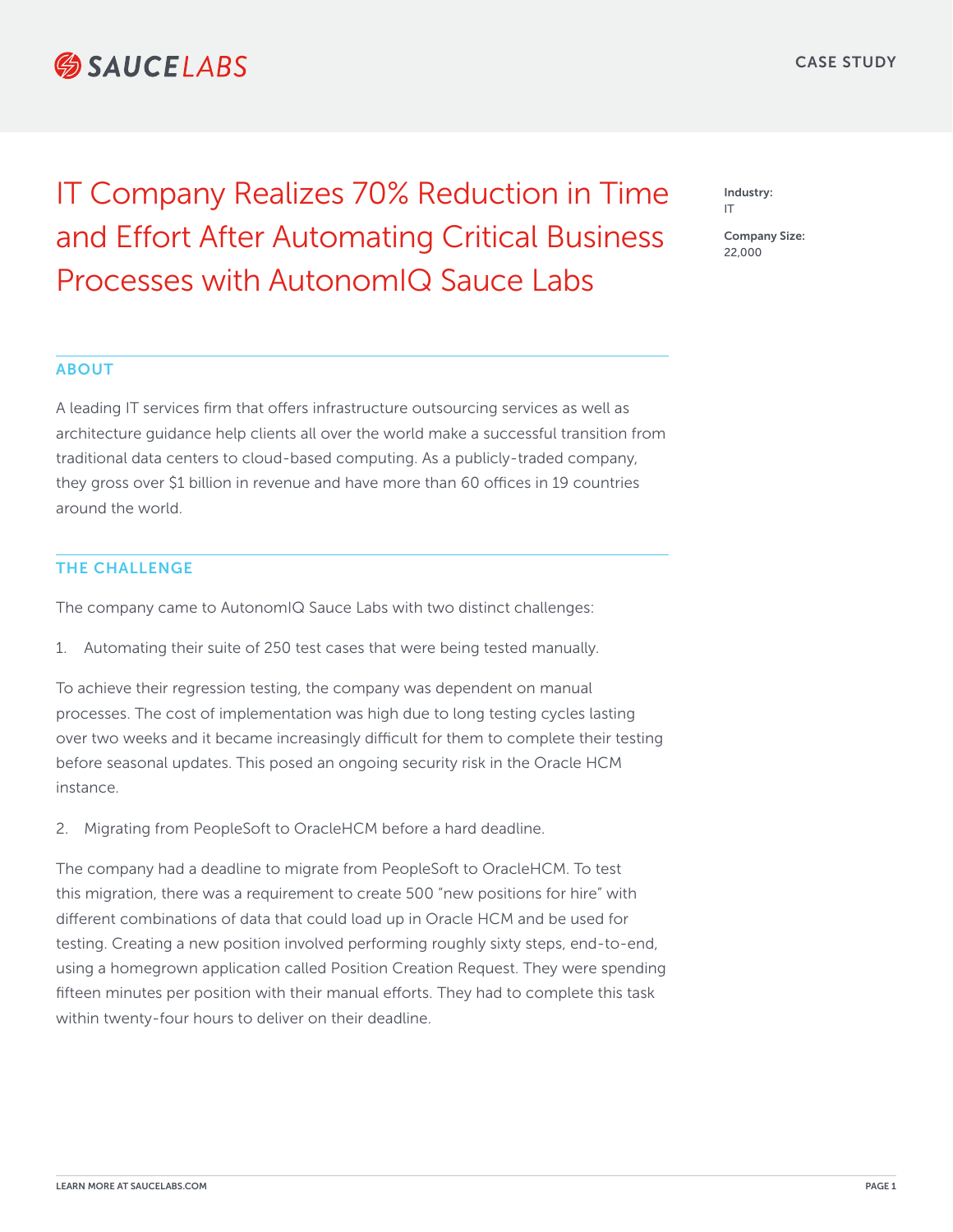# **SAUCEIARS**

Industry: IT

> Company Size: 22,000

IT Company Realizes 70% Reduction in Time and Effort After Automating Critical Business Processes with AutonomIQ Sauce Labs

#### ABOUT

A leading IT services firm that offers infrastructure outsourcing services as well as architecture guidance help clients all over the world make a successful transition from traditional data centers to cloud-based computing. As a publicly-traded company, they gross over \$1 billion in revenue and have more than 60 offices in 19 countries around the world.

## THE CHALLENGE

The company came to AutonomIQ Sauce Labs with two distinct challenges:

1. Automating their suite of 250 test cases that were being tested manually.

To achieve their regression testing, the company was dependent on manual processes. The cost of implementation was high due to long testing cycles lasting over two weeks and it became increasingly difficult for them to complete their testing before seasonal updates. This posed an ongoing security risk in the Oracle HCM instance.

2. Migrating from PeopleSoft to OracleHCM before a hard deadline.

The company had a deadline to migrate from PeopleSoft to OracleHCM. To test this migration, there was a requirement to create 500 "new positions for hire" with different combinations of data that could load up in Oracle HCM and be used for testing. Creating a new position involved performing roughly sixty steps, end-to-end, using a homegrown application called Position Creation Request. They were spending fifteen minutes per position with their manual efforts. They had to complete this task within twenty-four hours to deliver on their deadline.